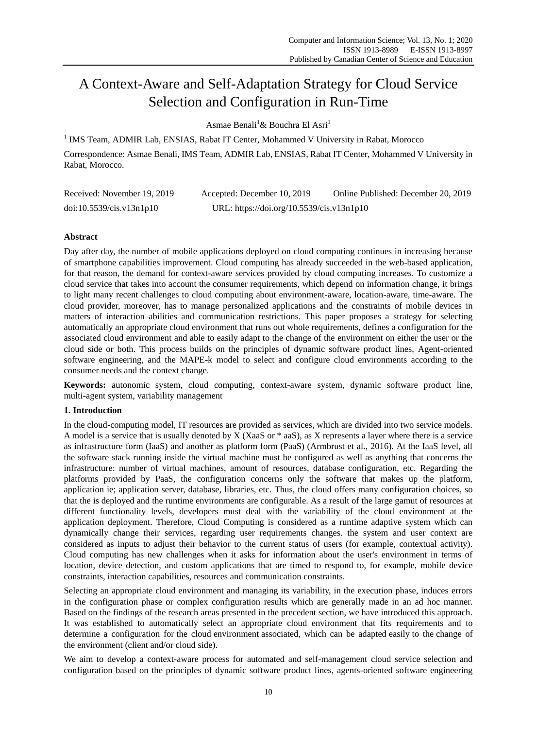# A Context-Aware and Self-Adaptation Strategy for Cloud Service Selection and Configuration in Run-Time

Asmae Benali<sup>1</sup>& Bouchra El Asri<sup>1</sup>

<sup>1</sup> IMS Team, ADMIR Lab, ENSIAS, Rabat IT Center, Mohammed V University in Rabat, Morocco Correspondence: Asmae Benali, IMS Team, ADMIR Lab, ENSIAS, Rabat IT Center, Mohammed V University in Rabat, Morocco.

| Received: November 19, 2019 | Accepted: December 10, 2019               | Online Published: December 20, 2019 |  |
|-----------------------------|-------------------------------------------|-------------------------------------|--|
| doi:10.5539/cis.v13n1p10    | URL: https://doi.org/10.5539/cis.v13n1p10 |                                     |  |

# **Abstract**

Day after day, the number of mobile applications deployed on cloud computing continues in increasing because of smartphone capabilities improvement. Cloud computing has already succeeded in the web-based application, for that reason, the demand for context-aware services provided by cloud computing increases. To customize a cloud service that takes into account the consumer requirements, which depend on information change, it brings to light many recent challenges to cloud computing about environment-aware, location-aware, time-aware. The cloud provider, moreover, has to manage personalized applications and the constraints of mobile devices in matters of interaction abilities and communication restrictions. This paper proposes a strategy for selecting automatically an appropriate cloud environment that runs out whole requirements, defines a configuration for the associated cloud environment and able to easily adapt to the change of the environment on either the user or the cloud side or both. This process builds on the principles of dynamic software product lines, Agent-oriented software engineering, and the MAPE-k model to select and configure cloud environments according to the consumer needs and the context change.

**Keywords:** autonomic system, cloud computing, context-aware system, dynamic software product line, multi-agent system, variability management

# **1. Introduction**

In the cloud-computing model, IT resources are provided as services, which are divided into two service models. A model is a service that is usually denoted by X (XaaS or \* aaS), as X represents a layer where there is a service as infrastructure form (IaaS) and another as platform form (PaaS) (Armbrust et al., 2016). At the IaaS level, all the software stack running inside the virtual machine must be configured as well as anything that concerns the infrastructure: number of virtual machines, amount of resources, database configuration, etc. Regarding the platforms provided by PaaS, the configuration concerns only the software that makes up the platform, application ie; application server, database, libraries, etc. Thus, the cloud offers many configuration choices, so that the is deployed and the runtime environments are configurable. As a result of the large gamut of resources at different functionality levels, developers must deal with the variability of the cloud environment at the application deployment. Therefore, Cloud Computing is considered as a runtime adaptive system which can dynamically change their services, regarding user requirements changes. the system and user context are considered as inputs to adjust their behavior to the current status of users (for example, contextual activity). Cloud computing has new challenges when it asks for information about the user's environment in terms of location, device detection, and custom applications that are timed to respond to, for example, mobile device constraints, interaction capabilities, resources and communication constraints.

Selecting an appropriate cloud environment and managing its variability, in the execution phase, induces errors in the configuration phase or complex configuration results which are generally made in an ad hoc manner. Based on the findings of the research areas presented in the precedent section, we have introduced this approach. It was established to automatically select an appropriate cloud environment that fits requirements and to determine a configuration for the cloud environment associated, which can be adapted easily to the change of the environment (client and/or cloud side).

We aim to develop a context-aware process for automated and self-management cloud service selection and configuration based on the principles of dynamic software product lines, agents-oriented software engineering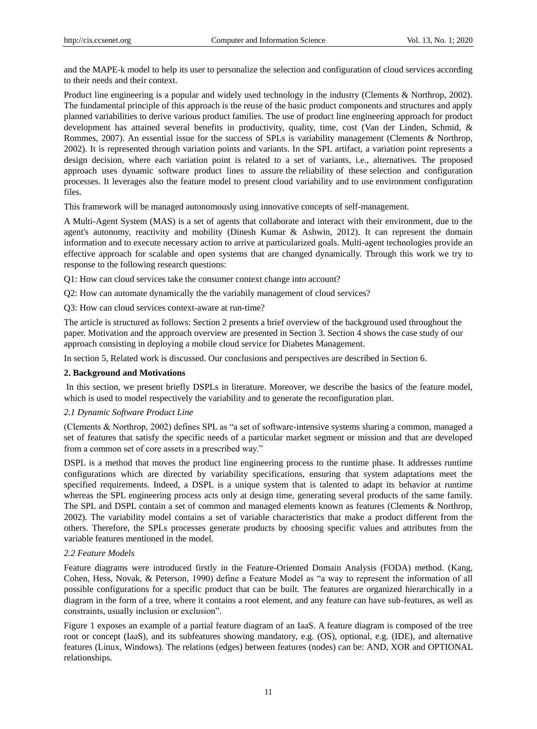and the MAPE-k model to help its user to personalize the selection and configuration of cloud services according to their needs and their context.

Product line engineering is a popular and widely used technology in the industry (Clements & Northrop, 2002). The fundamental principle of this approach is the reuse of the basic product components and structures and apply planned variabilities to derive various product families. The use of product line engineering approach for product development has attained several benefits in productivity, quality, time, cost (Van der Linden, Schmid, & Rommes, 2007). An essential issue for the success of SPLs is variability management (Clements & Northrop, 2002). It is represented through variation points and variants. In the SPL artifact, a variation point represents a design decision, where each variation point is related to a set of variants, i.e., alternatives. The proposed approach uses dynamic software product lines to assure the reliability of these selection and configuration processes. It leverages also the feature model to present cloud variability and to use environment configuration files.

This framework will be managed autonomously using innovative concepts of self-management.

A Multi-Agent System (MAS) is a set of agents that collaborate and interact with their environment, due to the agent's autonomy, reactivity and mobility (Dinesh Kumar & Ashwin, 2012). It can represent the domain information and to execute necessary action to arrive at particularized goals. Multi-agent technologies provide an effective approach for scalable and open systems that are changed dynamically. Through this work we try to response to the following research questions:

Q1: How can cloud services take the consumer context change into account?

Q2: How can automate dynamically the the variabily management of cloud services?

Q3: How can cloud services context-aware at run-time?

The article is structured as follows: Section 2 presents a brief overview of the background used throughout the paper. Motivation and the approach overview are presented in Section 3. Section 4 shows the case study of our approach consisting in deploying a mobile cloud service for Diabetes Management.

In section 5, Related work is discussed. Our conclusions and perspectives are described in Section 6.

#### **2. Background and Motivations**

In this section, we present briefly DSPLs in literature. Moreover, we describe the basics of the feature model, which is used to model respectively the variability and to generate the reconfiguration plan.

## *2.1 Dynamic Software Product Line*

(Clements & Northrop, 2002) defines SPL as "a set of software-intensive systems sharing a common, managed a set of features that satisfy the specific needs of a particular market segment or mission and that are developed from a common set of core assets in a prescribed way."

DSPL is a method that moves the product line engineering process to the runtime phase. It addresses runtime configurations which are directed by variability specifications, ensuring that system adaptations meet the specified requirements. Indeed, a DSPL is a unique system that is talented to adapt its behavior at runtime whereas the SPL engineering process acts only at design time, generating several products of the same family. The SPL and DSPL contain a set of common and managed elements known as features (Clements & Northrop, 2002). The variability model contains a set of variable characteristics that make a product different from the others. Therefore, the SPLs processes generate products by choosing specific values and attributes from the variable features mentioned in the model.

## *2.2 Feature Models*

Feature diagrams were introduced firstly in the Feature-Oriented Domain Analysis (FODA) method. (Kang, Cohen, Hess, Novak, & Peterson, 1990) define a Feature Model as "a way to represent the information of all possible configurations for a specific product that can be built. The features are organized hierarchically in a diagram in the form of a tree, where it contains a root element, and any feature can have sub-features, as well as constraints, usually inclusion or exclusion".

Figure 1 exposes an example of a partial feature diagram of an IaaS. A feature diagram is composed of the tree root or concept (IaaS), and its subfeatures showing mandatory, e.g. (OS), optional, e.g. (IDE), and alternative features (Linux, Windows). The relations (edges) between features (nodes) can be: AND, XOR and OPTIONAL relationships.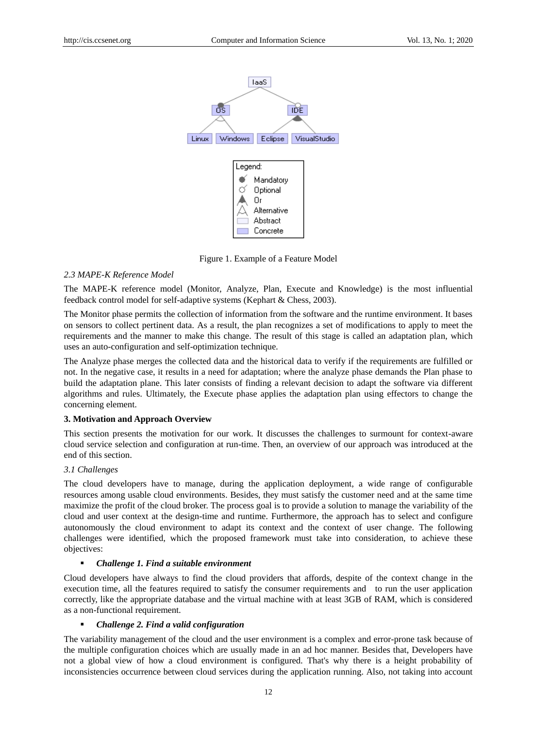

Figure 1. Example of a Feature Model

## *2.3 MAPE-K Reference Model*

The MAPE-K reference model (Monitor, Analyze, Plan, Execute and Knowledge) is the most influential feedback control model for self-adaptive systems (Kephart & Chess, 2003).

The Monitor phase permits the collection of information from the software and the runtime environment. It bases on sensors to collect pertinent data. As a result, the plan recognizes a set of modifications to apply to meet the requirements and the manner to make this change. The result of this stage is called an adaptation plan, which uses an auto-configuration and self-optimization technique.

The Analyze phase merges the collected data and the historical data to verify if the requirements are fulfilled or not. In the negative case, it results in a need for adaptation; where the analyze phase demands the Plan phase to build the adaptation plane. This later consists of finding a relevant decision to adapt the software via different algorithms and rules. Ultimately, the Execute phase applies the adaptation plan using effectors to change the concerning element.

## **3. Motivation and Approach Overview**

This section presents the motivation for our work. It discusses the challenges to surmount for context-aware cloud service selection and configuration at run-time. Then, an overview of our approach was introduced at the end of this section.

## *3.1 Challenges*

The cloud developers have to manage, during the application deployment, a wide range of configurable resources among usable cloud environments. Besides, they must satisfy the customer need and at the same time maximize the profit of the cloud broker. The process goal is to provide a solution to manage the variability of the cloud and user context at the design-time and runtime. Furthermore, the approach has to select and configure autonomously the cloud environment to adapt its context and the context of user change. The following challenges were identified, which the proposed framework must take into consideration, to achieve these objectives:

#### *Challenge 1. Find a suitable environment*

Cloud developers have always to find the cloud providers that affords, despite of the context change in the execution time, all the features required to satisfy the consumer requirements and to run the user application correctly, like the appropriate database and the virtual machine with at least 3GB of RAM, which is considered as a non-functional requirement.

#### *Challenge 2. Find a valid configuration*

The variability management of the cloud and the user environment is a complex and error-prone task because of the multiple configuration choices which are usually made in an ad hoc manner. Besides that, Developers have not a global view of how a cloud environment is configured. That's why there is a height probability of inconsistencies occurrence between cloud services during the application running. Also, not taking into account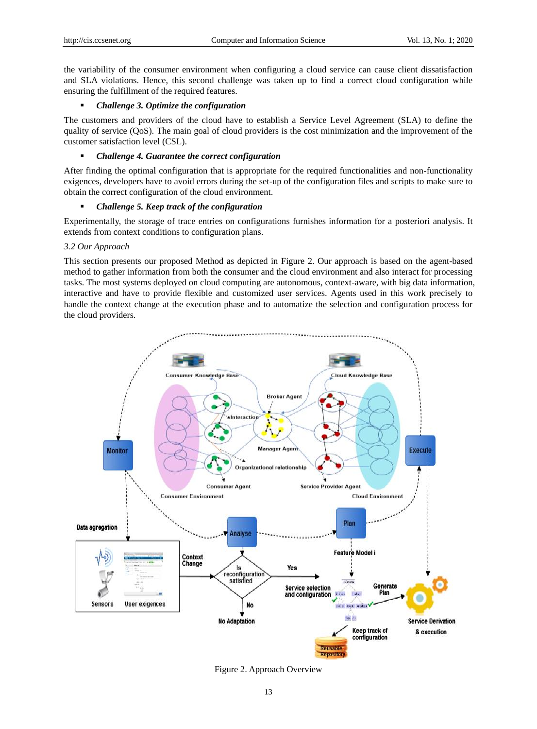the variability of the consumer environment when configuring a cloud service can cause client dissatisfaction and SLA violations. Hence, this second challenge was taken up to find a correct cloud configuration while ensuring the fulfillment of the required features.

# *Challenge 3. Optimize the configuration*

The customers and providers of the cloud have to establish a Service Level Agreement (SLA) to define the quality of service (QoS). The main goal of cloud providers is the cost minimization and the improvement of the customer satisfaction level (CSL).

# *Challenge 4. Guarantee the correct configuration*

After finding the optimal configuration that is appropriate for the required functionalities and non-functionality exigences, developers have to avoid errors during the set-up of the configuration files and scripts to make sure to obtain the correct configuration of the cloud environment.

# *Challenge 5. Keep track of the configuration*

Experimentally, the storage of trace entries on configurations furnishes information for a posteriori analysis. It extends from context conditions to configuration plans.

# *3.2 Our Approach*

This section presents our proposed Method as depicted in Figure 2. Our approach is based on the agent-based method to gather information from both the consumer and the cloud environment and also interact for processing tasks. The most systems deployed on cloud computing are autonomous, context-aware, with big data information, interactive and have to provide flexible and customized user services. Agents used in this work precisely to handle the context change at the execution phase and to automatize the selection and configuration process for the cloud providers.



Figure 2. Approach Overview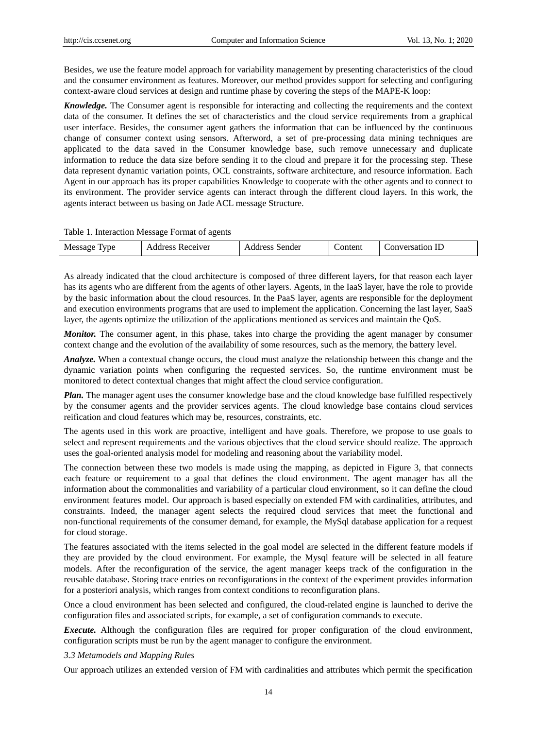Besides, we use the feature model approach for variability management by presenting characteristics of the cloud and the consumer environment as features. Moreover, our method provides support for selecting and configuring context-aware cloud services at design and runtime phase by covering the steps of the MAPE-K loop:

*Knowledge.* The Consumer agent is responsible for interacting and collecting the requirements and the context data of the consumer. It defines the set of characteristics and the cloud service requirements from a graphical user interface. Besides, the consumer agent gathers the information that can be influenced by the continuous change of consumer context using sensors. Afterword, a set of pre-processing data mining techniques are applicated to the data saved in the Consumer knowledge base, such remove unnecessary and duplicate information to reduce the data size before sending it to the cloud and prepare it for the processing step. These data represent dynamic variation points, OCL constraints, software architecture, and resource information. Each Agent in our approach has its proper capabilities Knowledge to cooperate with the other agents and to connect to its environment. The provider service agents can interact through the different cloud layers. In this work, the agents interact between us basing on Jade ACL message Structure.

Table 1. Interaction Message Format of agents

|  | ID<br>Message<br>1versat10n<br>onten<br>ceiver:<br>sender<br>' vne<br>onver<br>∸<br>w<br>. <del>.</del><br><b>UD</b><br>$\overline{\phantom{a}}$ |
|--|--------------------------------------------------------------------------------------------------------------------------------------------------|
|--|--------------------------------------------------------------------------------------------------------------------------------------------------|

As already indicated that the cloud architecture is composed of three different layers, for that reason each layer has its agents who are different from the agents of other layers. Agents, in the IaaS layer, have the role to provide by the basic information about the cloud resources. In the PaaS layer, agents are responsible for the deployment and execution environments programs that are used to implement the application. Concerning the last layer, SaaS layer, the agents optimize the utilization of the applications mentioned as services and maintain the QoS.

*Monitor.* The consumer agent, in this phase, takes into charge the providing the agent manager by consumer context change and the evolution of the availability of some resources, such as the memory, the battery level.

*Analyze.* When a contextual change occurs, the cloud must analyze the relationship between this change and the dynamic variation points when configuring the requested services. So, the runtime environment must be monitored to detect contextual changes that might affect the cloud service configuration.

*Plan.* The manager agent uses the consumer knowledge base and the cloud knowledge base fulfilled respectively by the consumer agents and the provider services agents. The cloud knowledge base contains cloud services reification and cloud features which may be, resources, constraints, etc.

The agents used in this work are proactive, intelligent and have goals. Therefore, we propose to use goals to select and represent requirements and the various objectives that the cloud service should realize. The approach uses the goal-oriented analysis model for modeling and reasoning about the variability model.

The connection between these two models is made using the mapping, as depicted in Figure 3, that connects each feature or requirement to a goal that defines the cloud environment. The agent manager has all the information about the commonalities and variability of a particular cloud environment, so it can define the cloud environment features model. Our approach is based especially on extended FM with cardinalities, attributes, and constraints. Indeed, the manager agent selects the required cloud services that meet the functional and non-functional requirements of the consumer demand, for example, the MySql database application for a request for cloud storage.

The features associated with the items selected in the goal model are selected in the different feature models if they are provided by the cloud environment. For example, the Mysql feature will be selected in all feature models. After the reconfiguration of the service, the agent manager keeps track of the configuration in the reusable database. Storing trace entries on reconfigurations in the context of the experiment provides information for a posteriori analysis, which ranges from context conditions to reconfiguration plans.

Once a cloud environment has been selected and configured, the cloud-related engine is launched to derive the configuration files and associated scripts, for example, a set of configuration commands to execute.

*Execute.* Although the configuration files are required for proper configuration of the cloud environment, configuration scripts must be run by the agent manager to configure the environment.

## *3.3 Metamodels and Mapping Rules*

Our approach utilizes an extended version of FM with cardinalities and attributes which permit the specification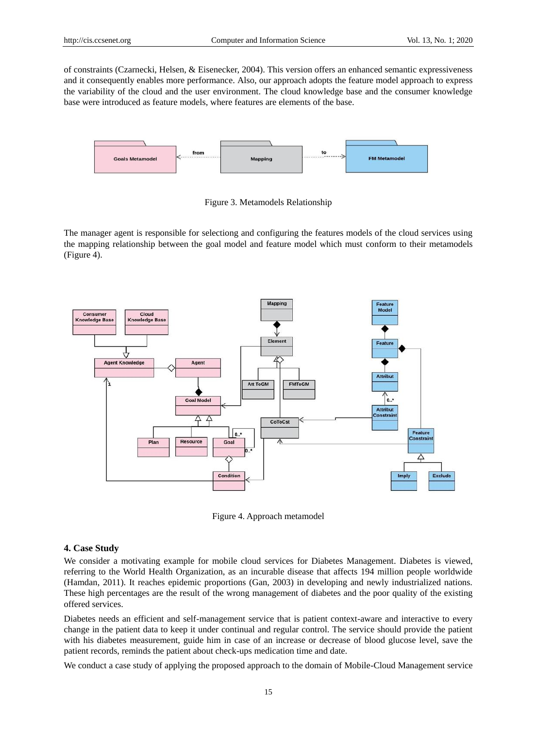of constraints (Czarnecki, Helsen, & Eisenecker, 2004). This version offers an enhanced semantic expressiveness and it consequently enables more performance. Also, our approach adopts the feature model approach to express the variability of the cloud and the user environment. The cloud knowledge base and the consumer knowledge base were introduced as feature models, where features are elements of the base.



Figure 3. Metamodels Relationship

The manager agent is responsible for selectiong and configuring the features models of the cloud services using the mapping relationship between the goal model and feature model which must conform to their metamodels (Figure 4).



Figure 4. Approach metamodel

# **4. Case Study**

We consider a motivating example for mobile cloud services for Diabetes Management. Diabetes is viewed, referring to the World Health Organization, as an incurable disease that affects 194 million people worldwide (Hamdan, 2011). It reaches epidemic proportions (Gan, 2003) in developing and newly industrialized nations. These high percentages are the result of the wrong management of diabetes and the poor quality of the existing offered services.

Diabetes needs an efficient and self-management service that is patient context-aware and interactive to every change in the patient data to keep it under continual and regular control. The service should provide the patient with his diabetes measurement, guide him in case of an increase or decrease of blood glucose level, save the patient records, reminds the patient about check-ups medication time and date.

We conduct a case study of applying the proposed approach to the domain of Mobile-Cloud Management service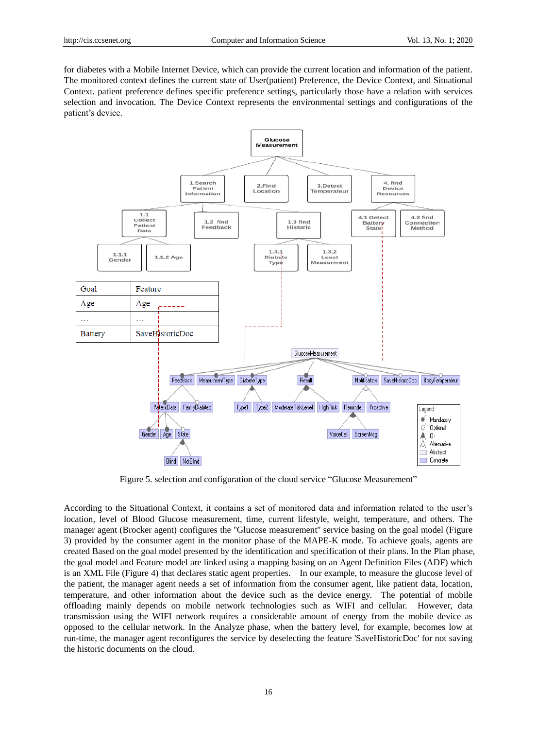for diabetes with a Mobile Internet Device, which can provide the current location and information of the patient. The monitored context defines the current state of User(patient) Preference, the Device Context, and Situational Context. patient preference defines specific preference settings, particularly those have a relation with services selection and invocation. The Device Context represents the environmental settings and configurations of the patient's device.



Figure 5. selection and configuration of the cloud service "Glucose Measurement"

According to the Situational Context, it contains a set of monitored data and information related to the user's location, level of Blood Glucose measurement, time, current lifestyle, weight, temperature, and others. The manager agent (Brocker agent) configures the ''Glucose measurement'' service basing on the goal model (Figure 3) provided by the consumer agent in the monitor phase of the MAPE-K mode. To achieve goals, agents are created Based on the goal model presented by the identification and specification of their plans. In the Plan phase, the goal model and Feature model are linked using a mapping basing on an Agent Definition Files (ADF) which is an XML File (Figure 4) that declares static agent properties. In our example, to measure the glucose level of the patient, the manager agent needs a set of information from the consumer agent, like patient data, location, temperature, and other information about the device such as the device energy. The potential of mobile offloading mainly depends on mobile network technologies such as WIFI and cellular. However, data transmission using the WIFI network requires a considerable amount of energy from the mobile device as opposed to the cellular network. In the Analyze phase, when the battery level, for example, becomes low at run-time, the manager agent reconfigures the service by deselecting the feature 'SaveHistoricDoc' for not saving the historic documents on the cloud.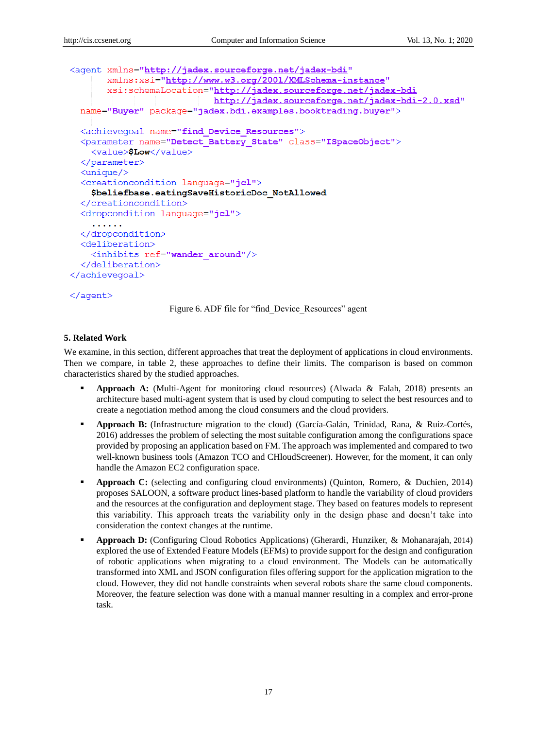```
<agent xmlns="http://jadex.sourceforge.net/jadex-bdi"
        xmlns:xsi="http://www.w3.org/2001/XMLSchema-instance"
        xsi:schemaLocation="http://jadex.sourceforge.net/jadex-bdi
                                 http://jadex.sourceforge.net/jadex-bdi-2.0.xsd"
  name="Buyer" package="jadex.bdi.examples.booktrading.buyer">
  <achievegoal name="find Device Resources">
  <parameter name="Detect Battery State" class="ISpaceObject">
    <value>$Low</value>
  </parameter>
  \langleunique/>
  <creationcondition language="icl">
     $beliefbase.eatingSaveHistoricDoc NotAllowed
  </creationcondition>
  <dropcondition language="jcl">
     \frac{1}{2} \left( \frac{1}{2} \right) \left( \frac{1}{2} \right) \left( \frac{1}{2} \right) \left( \frac{1}{2} \right) \left( \frac{1}{2} \right)</dropcondition>
  <deliberation>
     <inhibits ref="wander around"/>
  </deliberation>
</achievegoal>
```
#### $\langle$ aqent>

Figure 6. ADF file for "find\_Device\_Resources" agent

#### **5. Related Work**

We examine, in this section, different approaches that treat the deployment of applications in cloud environments. Then we compare, in table 2, these approaches to define their limits. The comparison is based on common characteristics shared by the studied approaches.

- **Approach A:** (Multi-Agent for monitoring cloud resources) (Alwada & Falah, 2018) presents an architecture based multi-agent system that is used by cloud computing to select the best resources and to create a negotiation method among the cloud consumers and the cloud providers.
- **Approach B:** (Infrastructure migration to the cloud) (Garc á-Galán, Trinidad, Rana, & Ruiz-Cortés, 2016) addresses the problem of selecting the most suitable configuration among the configurations space provided by proposing an application based on FM. The approach was implemented and compared to two well-known business tools (Amazon TCO and CHloudScreener). However, for the moment, it can only handle the Amazon EC2 configuration space.
- **Approach C:** (selecting and configuring cloud environments) (Quinton, Romero, & Duchien, 2014) proposes SALOON, a software product lines-based platform to handle the variability of cloud providers and the resources at the configuration and deployment stage. They based on features models to represent this variability. This approach treats the variability only in the design phase and doesn't take into consideration the context changes at the runtime.
- **Approach D:** (Configuring Cloud Robotics Applications) (Gherardi, Hunziker, & Mohanarajah, 2014) explored the use of Extended Feature Models (EFMs) to provide support for the design and configuration of robotic applications when migrating to a cloud environment. The Models can be automatically transformed into XML and JSON configuration files offering support for the application migration to the cloud. However, they did not handle constraints when several robots share the same cloud components. Moreover, the feature selection was done with a manual manner resulting in a complex and error-prone task.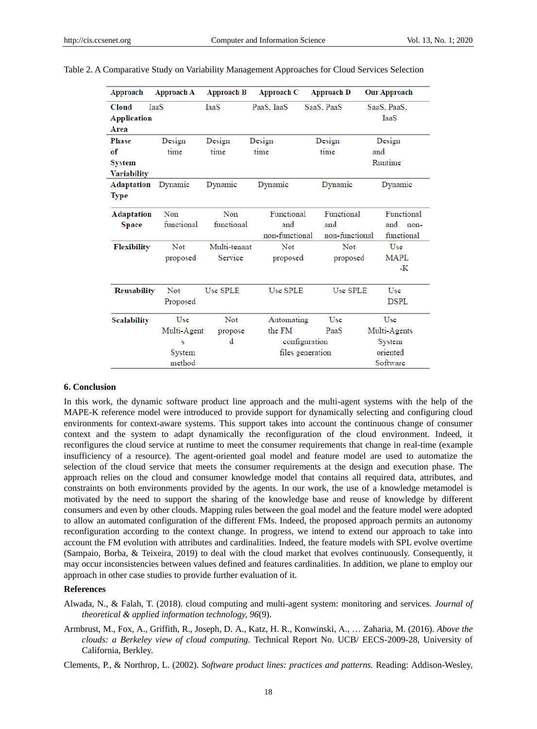| Approach           | <b>Approach A</b> | <b>Approach B</b> | <b>Approach C</b> | <b>Approach D</b> | <b>Our Approach</b> |
|--------------------|-------------------|-------------------|-------------------|-------------------|---------------------|
| <b>Cloud</b>       | <b>TaaS</b>       | IaaS              | PaaS, IaaS        | SaaS, PaaS        | SaaS, PaaS,         |
| <b>Application</b> |                   |                   |                   |                   | IaaS                |
| Area               |                   |                   |                   |                   |                     |
| <b>Phase</b>       | Design            | Design            | Design            | Design            | Design              |
| of                 | time              | time              | time              | time              | and                 |
| System             |                   |                   |                   |                   | Runtime             |
| <b>Variability</b> |                   |                   |                   |                   |                     |
| Adaptation         | Dynamic           | Dynamic           | Dynamic           | Dynamic           | Dynamic             |
| Type               |                   |                   |                   |                   |                     |
| Adaptation         | Non               | Non               | Functional        | Functional        | Functional          |
| <b>Space</b>       | functional        | functional        | and               | and               | and<br>non-         |
|                    |                   |                   | non-functional    | non-functional    | functional          |
| <b>Flexibility</b> | Not               | Multi-tenant      | <b>Not</b>        | <b>Not</b>        | Use                 |
|                    | proposed          | Service           | proposed          | proposed          | MAPL                |
|                    |                   |                   |                   |                   | -K                  |
| <b>Reusability</b> | Not               | Use SPLE          | Use SPLE          | Use SPLE          | Use                 |
|                    | Proposed          |                   |                   |                   | <b>DSPL</b>         |
| <b>Scalability</b> | Use               | Not               | Automating        | Use               | Use                 |
|                    | Multi-Agent       | propose           | the FM            | PaaS              | Multi-Agents        |
|                    | s                 | d                 |                   | configuration     | System              |
|                    | System            |                   |                   | files generation  | oriented            |
|                    | method            |                   |                   |                   | Software            |

#### **6. Conclusion**

In this work, the dynamic software product line approach and the multi-agent systems with the help of the MAPE-K reference model were introduced to provide support for dynamically selecting and configuring cloud environments for context-aware systems. This support takes into account the continuous change of consumer context and the system to adapt dynamically the reconfiguration of the cloud environment. Indeed, it reconfigures the cloud service at runtime to meet the consumer requirements that change in real-time (example insufficiency of a resource). The agent-oriented goal model and feature model are used to automatize the selection of the cloud service that meets the consumer requirements at the design and execution phase. The approach relies on the cloud and consumer knowledge model that contains all required data, attributes, and constraints on both environments provided by the agents. In our work, the use of a knowledge metamodel is motivated by the need to support the sharing of the knowledge base and reuse of knowledge by different consumers and even by other clouds. Mapping rules between the goal model and the feature model were adopted to allow an automated configuration of the different FMs. Indeed, the proposed approach permits an autonomy reconfiguration according to the context change. In progress, we intend to extend our approach to take into account the FM evolution with attributes and cardinalities. Indeed, the feature models with SPL evolve overtime (Sampaio, Borba, & Teixeira, 2019) to deal with the cloud market that evolves continuously. Consequently, it may occur inconsistencies between values defined and features cardinalities. In addition, we plane to employ our approach in other case studies to provide further evaluation of it.

#### **References**

- Alwada, N., & Falah, T. (2018). cloud computing and multi-agent system: monitoring and services. *Journal of theoretical & applied information technology, 96*(9).
- Armbrust, M., Fox, A., Griffith, R., Joseph, D. A., Katz, H. R., Konwinski, A., … Zaharia, M. (2016). *Above the clouds: a Berkeley view of cloud computing.* Technical Report No. UCB/ EECS-2009-28, University of California, Berkley.

Clements, P., & Northrop, L. (2002). *Software product lines: practices and patterns.* Reading: Addison-Wesley,